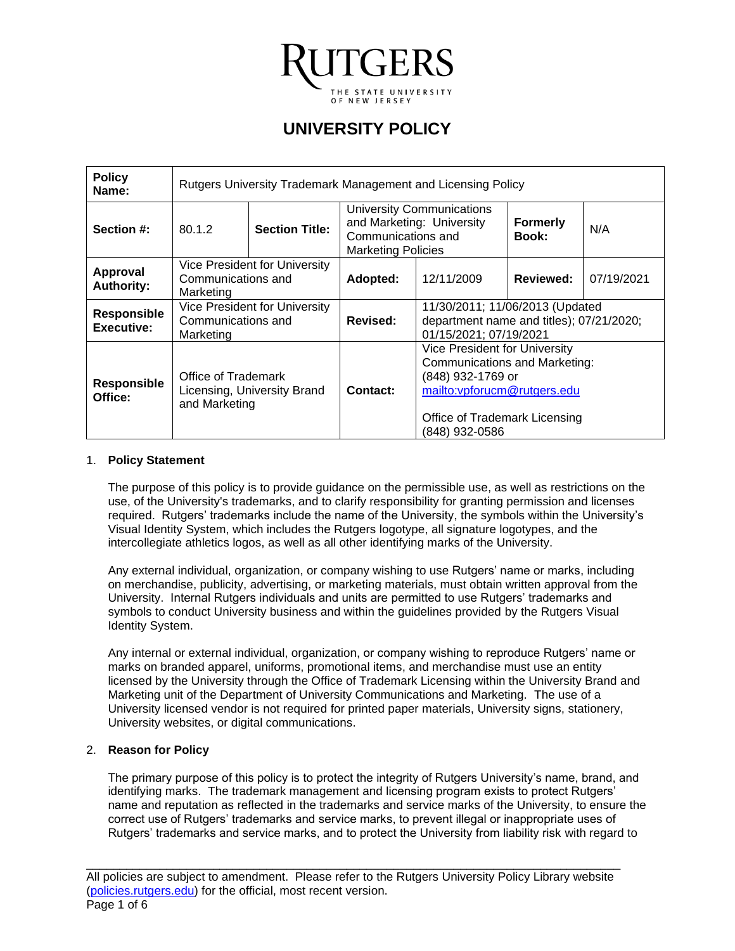

# **UNIVERSITY POLICY**

| <b>Policy</b><br>Name:           | Rutgers University Trademark Management and Licensing Policy        |  |                                                                                                           |                                                                                                                                                                                      |                          |            |
|----------------------------------|---------------------------------------------------------------------|--|-----------------------------------------------------------------------------------------------------------|--------------------------------------------------------------------------------------------------------------------------------------------------------------------------------------|--------------------------|------------|
| Section #:                       | <b>Section Title:</b><br>80.1.2                                     |  | University Communications<br>and Marketing: University<br>Communications and<br><b>Marketing Policies</b> |                                                                                                                                                                                      | <b>Formerly</b><br>Book: | N/A        |
| Approval<br><b>Authority:</b>    | Vice President for University<br>Communications and<br>Marketing    |  | Adopted:                                                                                                  | 12/11/2009                                                                                                                                                                           | Reviewed:                | 07/19/2021 |
| <b>Responsible</b><br>Executive: | Vice President for University<br>Communications and<br>Marketing    |  | Revised:                                                                                                  | 11/30/2011; 11/06/2013 (Updated<br>department name and titles); 07/21/2020;<br>01/15/2021; 07/19/2021                                                                                |                          |            |
| <b>Responsible</b><br>Office:    | Office of Trademark<br>Licensing, University Brand<br>and Marketing |  | Contact:                                                                                                  | <b>Vice President for University</b><br><b>Communications and Marketing:</b><br>(848) 932-1769 or<br>mailto: vpforucm@rutgers.edu<br>Office of Trademark Licensing<br>(848) 932-0586 |                          |            |

#### 1. **Policy Statement**

The purpose of this policy is to provide guidance on the permissible use, as well as restrictions on the use, of the University's trademarks, and to clarify responsibility for granting permission and licenses required. Rutgers' trademarks include the name of the University, the symbols within the University's Visual Identity System, which includes the Rutgers logotype, all signature logotypes, and the intercollegiate athletics logos, as well as all other identifying marks of the University.

Any external individual, organization, or company wishing to use Rutgers' name or marks, including on merchandise, publicity, advertising, or marketing materials, must obtain written approval from the University. Internal Rutgers individuals and units are permitted to use Rutgers' trademarks and symbols to conduct University business and within the guidelines provided by the Rutgers Visual Identity System.

Any internal or external individual, organization, or company wishing to reproduce Rutgers' name or marks on branded apparel, uniforms, promotional items, and merchandise must use an entity licensed by the University through the Office of Trademark Licensing within the University Brand and Marketing unit of the Department of University Communications and Marketing. The use of a University licensed vendor is not required for printed paper materials, University signs, stationery, University websites, or digital communications.

## 2. **Reason for Policy**

The primary purpose of this policy is to protect the integrity of Rutgers University's name, brand, and identifying marks. The trademark management and licensing program exists to protect Rutgers' name and reputation as reflected in the trademarks and service marks of the University, to ensure the correct use of Rutgers' trademarks and service marks, to prevent illegal or inappropriate uses of Rutgers' trademarks and service marks, and to protect the University from liability risk with regard to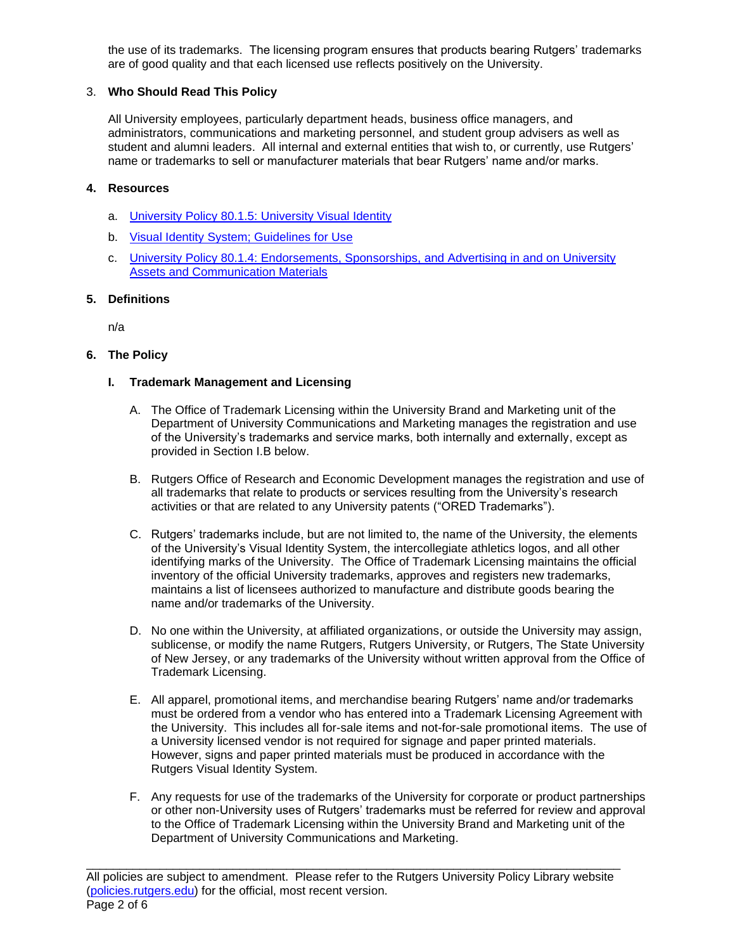the use of its trademarks. The licensing program ensures that products bearing Rutgers' trademarks are of good quality and that each licensed use reflects positively on the University.

## 3. **Who Should Read This Policy**

All University employees, particularly department heads, business office managers, and administrators, communications and marketing personnel, and student group advisers as well as student and alumni leaders. All internal and external entities that wish to, or currently, use Rutgers' name or trademarks to sell or manufacturer materials that bear Rutgers' name and/or marks.

## **4. Resources**

- a. University Policy 80.1.5: [University Visual Identity](https://policies.rutgers.edu/8015-currentpdf)
- b. [Visual Identity System; Guidelines for Use](https://communications.rutgers.edu/brand-policies/visual-identity/guidelines-use)
- c. University Policy 80.1.4: [Endorsements, Sponsorships, and Advertising in and on University](https://policies.rutgers.edu/8014-currentpdf)  Assets [and Communication Materials](https://policies.rutgers.edu/8014-currentpdf)

## **5. Definitions**

n/a

## **6. The Policy**

## **I. Trademark Management and Licensing**

- A. The Office of Trademark Licensing within the University Brand and Marketing unit of the Department of University Communications and Marketing manages the registration and use of the University's trademarks and service marks, both internally and externally, except as provided in Section I.B below.
- B. Rutgers Office of Research and Economic Development manages the registration and use of all trademarks that relate to products or services resulting from the University's research activities or that are related to any University patents ("ORED Trademarks").
- C. Rutgers' trademarks include, but are not limited to, the name of the University, the elements of the University's Visual Identity System, the intercollegiate athletics logos, and all other identifying marks of the University. The Office of Trademark Licensing maintains the official inventory of the official University trademarks, approves and registers new trademarks, maintains a list of licensees authorized to manufacture and distribute goods bearing the name and/or trademarks of the University.
- D. No one within the University, at affiliated organizations, or outside the University may assign, sublicense, or modify the name Rutgers, Rutgers University, or Rutgers, The State University of New Jersey, or any trademarks of the University without written approval from the Office of Trademark Licensing.
- E. All apparel, promotional items, and merchandise bearing Rutgers' name and/or trademarks must be ordered from a vendor who has entered into a Trademark Licensing Agreement with the University. This includes all for-sale items and not-for-sale promotional items. The use of a University licensed vendor is not required for signage and paper printed materials. However, signs and paper printed materials must be produced in accordance with the Rutgers Visual Identity System.
- F. Any requests for use of the trademarks of the University for corporate or product partnerships or other non-University uses of Rutgers' trademarks must be referred for review and approval to the Office of Trademark Licensing within the University Brand and Marketing unit of the Department of University Communications and Marketing.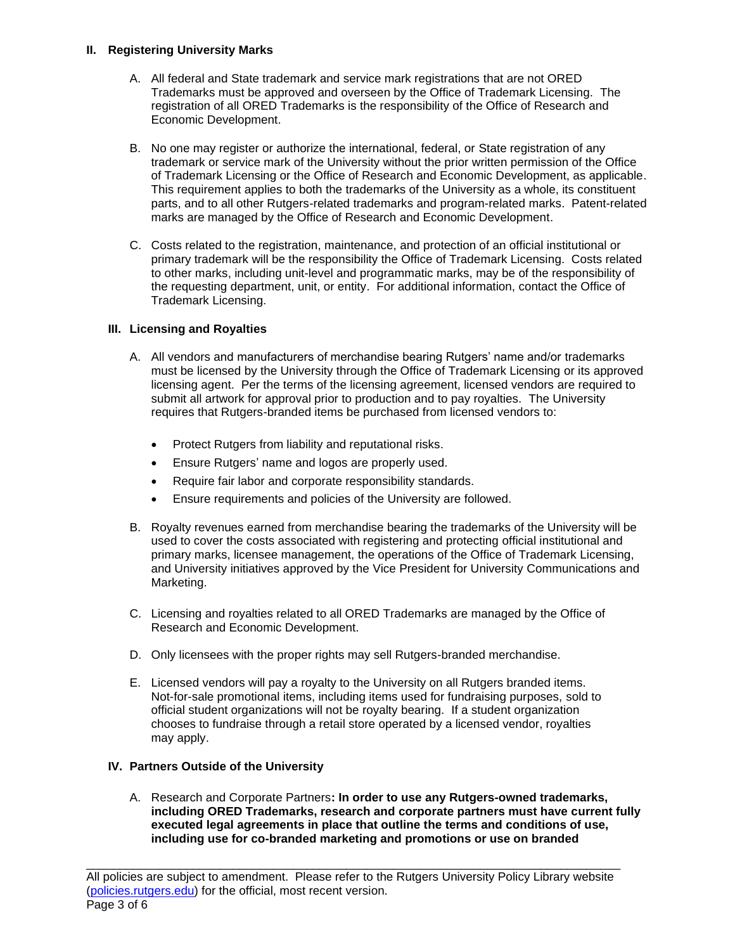## **II. Registering University Marks**

- A. All federal and State trademark and service mark registrations that are not ORED Trademarks must be approved and overseen by the Office of Trademark Licensing. The registration of all ORED Trademarks is the responsibility of the Office of Research and Economic Development.
- B. No one may register or authorize the international, federal, or State registration of any trademark or service mark of the University without the prior written permission of the Office of Trademark Licensing or the Office of Research and Economic Development, as applicable. This requirement applies to both the trademarks of the University as a whole, its constituent parts, and to all other Rutgers-related trademarks and program-related marks. Patent-related marks are managed by the Office of Research and Economic Development.
- C. Costs related to the registration, maintenance, and protection of an official institutional or primary trademark will be the responsibility the Office of Trademark Licensing. Costs related to other marks, including unit-level and programmatic marks, may be of the responsibility of the requesting department, unit, or entity. For additional information, contact the Office of Trademark Licensing.

# **III. Licensing and Royalties**

- A. All vendors and manufacturers of merchandise bearing Rutgers' name and/or trademarks must be licensed by the University through the Office of Trademark Licensing or its approved licensing agent. Per the terms of the licensing agreement, licensed vendors are required to submit all artwork for approval prior to production and to pay royalties. The University requires that Rutgers-branded items be purchased from licensed vendors to:
	- Protect Rutgers from liability and reputational risks.
	- Ensure Rutgers' name and logos are properly used.
	- Require fair labor and corporate responsibility standards.
	- Ensure requirements and policies of the University are followed.
- B. Royalty revenues earned from merchandise bearing the trademarks of the University will be used to cover the costs associated with registering and protecting official institutional and primary marks, licensee management, the operations of the Office of Trademark Licensing, and University initiatives approved by the Vice President for University Communications and Marketing.
- C. Licensing and royalties related to all ORED Trademarks are managed by the Office of Research and Economic Development.
- D. Only licensees with the proper rights may sell Rutgers-branded merchandise.
- E. Licensed vendors will pay a royalty to the University on all Rutgers branded items. Not-for-sale promotional items, including items used for fundraising purposes, sold to official student organizations will not be royalty bearing. If a student organization chooses to fundraise through a retail store operated by a licensed vendor, royalties may apply.

# **IV. Partners Outside of the University**

A. Research and Corporate Partners**: In order to use any Rutgers-owned trademarks, including ORED Trademarks, research and corporate partners must have current fully executed legal agreements in place that outline the terms and conditions of use, including use for co-branded marketing and promotions or use on branded**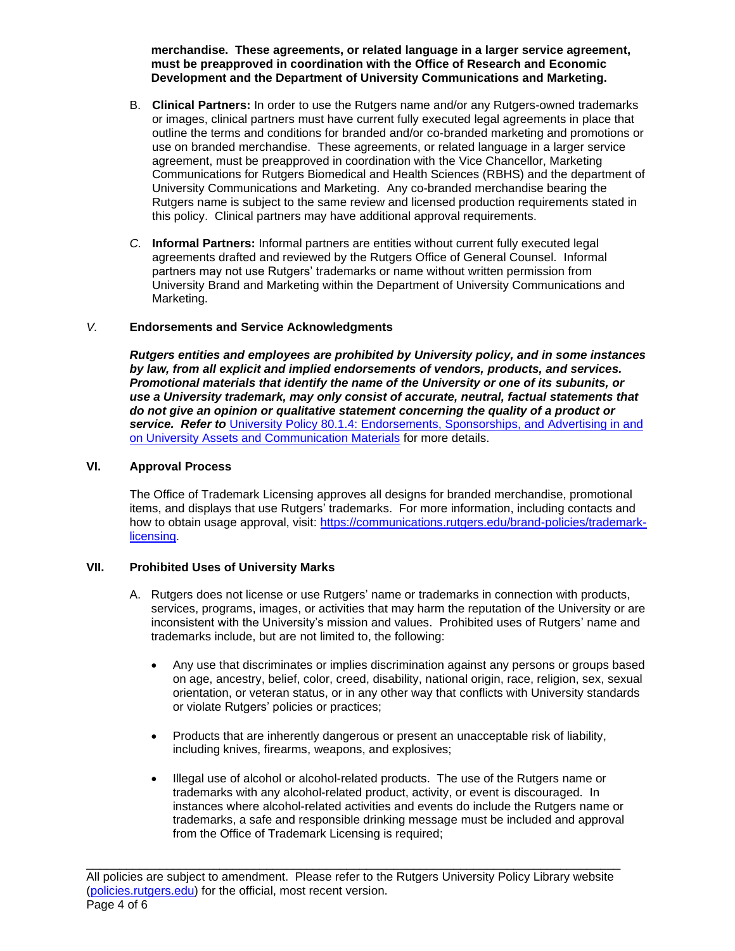**merchandise. These agreements, or related language in a larger service agreement, must be preapproved in coordination with the Office of Research and Economic Development and the Department of University Communications and Marketing.**

- B. **Clinical Partners:** In order to use the Rutgers name and/or any Rutgers-owned trademarks or images, clinical partners must have current fully executed legal agreements in place that outline the terms and conditions for branded and/or co-branded marketing and promotions or use on branded merchandise. These agreements, or related language in a larger service agreement, must be preapproved in coordination with the Vice Chancellor, Marketing Communications for Rutgers Biomedical and Health Sciences (RBHS) and the department of University Communications and Marketing. Any co-branded merchandise bearing the Rutgers name is subject to the same review and licensed production requirements stated in this policy. Clinical partners may have additional approval requirements.
- *C.* **Informal Partners:** Informal partners are entities without current fully executed legal agreements drafted and reviewed by the Rutgers Office of General Counsel. Informal partners may not use Rutgers' trademarks or name without written permission from University Brand and Marketing within the Department of University Communications and Marketing.

## *V.* **Endorsements and Service Acknowledgments**

*Rutgers entities and employees are prohibited by University policy, and in some instances by law, from all explicit and implied endorsements of vendors, products, and services. Promotional materials that identify the name of the University or one of its subunits, or use a University trademark, may only consist of accurate, neutral, factual statements that do not give an opinion or qualitative statement concerning the quality of a product or service. Refer to* University Policy 80.1.4: [Endorsements, Sponsorships, and Advertising in and](https://policies.rutgers.edu/8014-currentpdf)  [on University Assets and Communication Materials](https://policies.rutgers.edu/8014-currentpdf) for more details.

#### **VI. Approval Process**

The Office of Trademark Licensing approves all designs for branded merchandise, promotional items, and displays that use Rutgers' trademarks. For more information, including contacts and how to obtain usage approval, visit: [https://communications.rutgers.edu/brand-policies/trademark](https://communications.rutgers.edu/brand-policies/trademark-licensing)[licensing.](https://communications.rutgers.edu/brand-policies/trademark-licensing)

#### **VII. Prohibited Uses of University Marks**

- A. Rutgers does not license or use Rutgers' name or trademarks in connection with products, services, programs, images, or activities that may harm the reputation of the University or are inconsistent with the University's mission and values. Prohibited uses of Rutgers' name and trademarks include, but are not limited to, the following:
	- Any use that discriminates or implies discrimination against any persons or groups based on age, ancestry, belief, color, creed, disability, national origin, race, religion, sex, sexual orientation, or veteran status, or in any other way that conflicts with University standards or violate Rutgers' policies or practices;
	- Products that are inherently dangerous or present an unacceptable risk of liability, including knives, firearms, weapons, and explosives;
	- Illegal use of alcohol or alcohol-related products. The use of the Rutgers name or trademarks with any alcohol-related product, activity, or event is discouraged. In instances where alcohol-related activities and events do include the Rutgers name or trademarks, a safe and responsible drinking message must be included and approval from the Office of Trademark Licensing is required;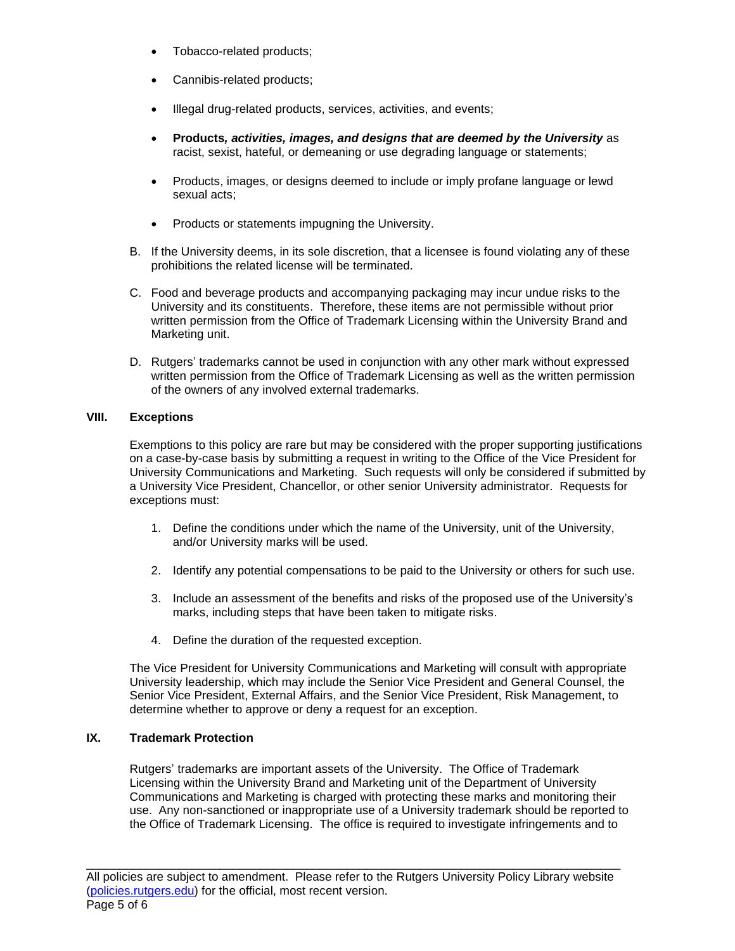- Tobacco-related products;
- Cannibis-related products;
- Illegal drug-related products, services, activities, and events;
- **Products***, activities, images, and designs that are deemed by the University* as racist, sexist, hateful, or demeaning or use degrading language or statements;
- Products, images, or designs deemed to include or imply profane language or lewd sexual acts;
- Products or statements impugning the University.
- B. If the University deems, in its sole discretion, that a licensee is found violating any of these prohibitions the related license will be terminated.
- C. Food and beverage products and accompanying packaging may incur undue risks to the University and its constituents. Therefore, these items are not permissible without prior written permission from the Office of Trademark Licensing within the University Brand and Marketing unit.
- D. Rutgers' trademarks cannot be used in conjunction with any other mark without expressed written permission from the Office of Trademark Licensing as well as the written permission of the owners of any involved external trademarks.

## **VIII. Exceptions**

Exemptions to this policy are rare but may be considered with the proper supporting justifications on a case-by-case basis by submitting a request in writing to the Office of the Vice President for University Communications and Marketing. Such requests will only be considered if submitted by a University Vice President, Chancellor, or other senior University administrator. Requests for exceptions must:

- 1. Define the conditions under which the name of the University, unit of the University, and/or University marks will be used.
- 2. Identify any potential compensations to be paid to the University or others for such use.
- 3. Include an assessment of the benefits and risks of the proposed use of the University's marks, including steps that have been taken to mitigate risks.
- 4. Define the duration of the requested exception.

The Vice President for University Communications and Marketing will consult with appropriate University leadership, which may include the Senior Vice President and General Counsel, the Senior Vice President, External Affairs, and the Senior Vice President, Risk Management, to determine whether to approve or deny a request for an exception.

## **IX. Trademark Protection**

Rutgers' trademarks are important assets of the University. The Office of Trademark Licensing within the University Brand and Marketing unit of the Department of University Communications and Marketing is charged with protecting these marks and monitoring their use. Any non-sanctioned or inappropriate use of a University trademark should be reported to the Office of Trademark Licensing. The office is required to investigate infringements and to